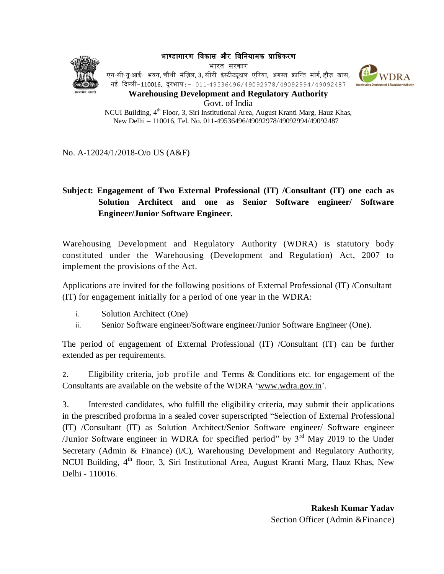भाण्डागारण विकास और विवियामक प्राविकरण





एन॰सी॰यू॰आई॰ भवन, चौथी मंज़िल, 3, सीरी इंस्टीट्यूश्नल एरिया, अगस्त क्रान्ति मार्ग, हौज़ खास, िई दिल्ली-110016, िूरभाष:- 011-49536496/49092978/49092994/49092487



**Warehousing Development and Regulatory Authority** Govt. of India

NCUI Building, 4<sup>th</sup> Floor, 3, Siri Institutional Area, August Kranti Marg, Hauz Khas, New Delhi – 110016, Tel. No. 011-49536496/49092978/49092994/49092487

No. A-12024/1/2018-O/o US (A&F)

# **Subject: Engagement of Two External Professional (IT) /Consultant (IT) one each as Solution Architect and one as Senior Software engineer/ Software Engineer/Junior Software Engineer.**

Warehousing Development and Regulatory Authority (WDRA) is statutory body constituted under the Warehousing (Development and Regulation) Act, 2007 to implement the provisions of the Act.

Applications are invited for the following positions of External Professional (IT) /Consultant (IT) for engagement initially for a period of one year in the WDRA:

- i. Solution Architect (One)
- ii. Senior Software engineer/Software engineer/Junior Software Engineer (One).

The period of engagement of External Professional (IT) /Consultant (IT) can be further extended as per requirements.

2. Eligibility criteria, job profile and Terms & Conditions etc. for engagement of the Consultants are available on the website of the WDRA ['www.wdra.gov.in'](http://www.wdra.nic.in/).

3. Interested candidates, who fulfill the eligibility criteria, may submit their applications in the prescribed proforma in a sealed cover superscripted "Selection of External Professional (IT) /Consultant (IT) as Solution Architect/Senior Software engineer/ Software engineer /Junior Software engineer in WDRA for specified period" by  $3<sup>rd</sup>$  May 2019 to the Under Secretary (Admin & Finance) (I/C), Warehousing Development and Regulatory Authority, NCUI Building,  $4<sup>th</sup>$  floor, 3, Siri Institutional Area, August Kranti Marg, Hauz Khas, New Delhi - 110016.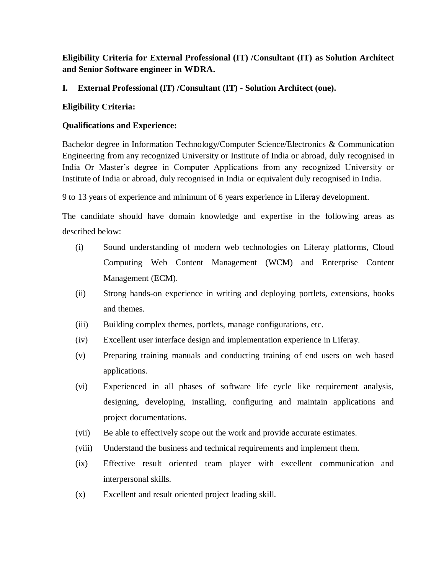**Eligibility Criteria for External Professional (IT) /Consultant (IT) as Solution Architect and Senior Software engineer in WDRA.**

**I. External Professional (IT) /Consultant (IT) - Solution Architect (one).**

## **Eligibility Criteria:**

## **Qualifications and Experience:**

Bachelor degree in Information Technology/Computer Science/Electronics & Communication Engineering from any recognized University or Institute of India or abroad, duly recognised in India Or Master's degree in Computer Applications from any recognized University or Institute of India or abroad, duly recognised in India or equivalent duly recognised in India.

9 to 13 years of experience and minimum of 6 years experience in Liferay development.

The candidate should have domain knowledge and expertise in the following areas as described below:

- (i) Sound understanding of modern web technologies on Liferay platforms, Cloud Computing Web Content Management (WCM) and Enterprise Content Management (ECM).
- (ii) Strong hands-on experience in writing and deploying portlets, extensions, hooks and themes.
- (iii) Building complex themes, portlets, manage configurations, etc.
- (iv) Excellent user interface design and implementation experience in Liferay.
- (v) Preparing training manuals and conducting training of end users on web based applications.
- (vi) Experienced in all phases of software life cycle like requirement analysis, designing, developing, installing, configuring and maintain applications and project documentations.
- (vii) Be able to effectively scope out the work and provide accurate estimates.
- (viii) Understand the business and technical requirements and implement them.
- (ix) Effective result oriented team player with excellent communication and interpersonal skills.
- (x) Excellent and result oriented project leading skill.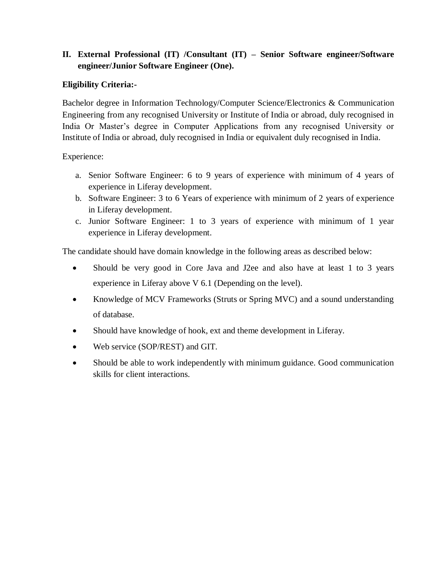## **II. External Professional (IT) /Consultant (IT) – Senior Software engineer/Software engineer/Junior Software Engineer (One).**

### **Eligibility Criteria:-**

Bachelor degree in Information Technology/Computer Science/Electronics & Communication Engineering from any recognised University or Institute of India or abroad, duly recognised in India Or Master's degree in Computer Applications from any recognised University or Institute of India or abroad, duly recognised in India or equivalent duly recognised in India.

Experience:

- a. Senior Software Engineer: 6 to 9 years of experience with minimum of 4 years of experience in Liferay development.
- b. Software Engineer: 3 to 6 Years of experience with minimum of 2 years of experience in Liferay development.
- c. Junior Software Engineer: 1 to 3 years of experience with minimum of 1 year experience in Liferay development.

The candidate should have domain knowledge in the following areas as described below:

- Should be very good in Core Java and J2ee and also have at least 1 to 3 years experience in Liferay above V 6.1 (Depending on the level).
- Knowledge of MCV Frameworks (Struts or Spring MVC) and a sound understanding of database.
- Should have knowledge of hook, ext and theme development in Liferay.
- Web service (SOP/REST) and GIT.
- Should be able to work independently with minimum guidance. Good communication skills for client interactions.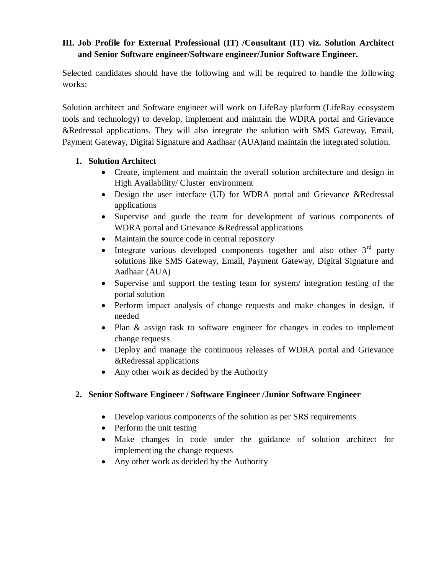## **III. Job Profile for External Professional (IT) /Consultant (IT) viz. Solution Architect and Senior Software engineer/Software engineer/Junior Software Engineer.**

Selected candidates should have the following and will be required to handle the following works:

Solution architect and Software engineer will work on LifeRay platform (LifeRay ecosystem tools and technology) to develop, implement and maintain the WDRA portal and Grievance &Redressal applications. They will also integrate the solution with SMS Gateway, Email, Payment Gateway, Digital Signature and Aadhaar (AUA)and maintain the integrated solution.

## **1. Solution Architect**

- Create, implement and maintain the overall solution architecture and design in High Availability/ Cluster environment
- Design the user interface (UI) for WDRA portal and Grievance &Redressal applications
- Supervise and guide the team for development of various components of WDRA portal and Grievance &Redressal applications
- Maintain the source code in central repository
- Integrate various developed components together and also other  $3<sup>rd</sup>$  party solutions like SMS Gateway, Email, Payment Gateway, Digital Signature and Aadhaar (AUA)
- Supervise and support the testing team for system/ integration testing of the portal solution
- Perform impact analysis of change requests and make changes in design, if needed
- Plan & assign task to software engineer for changes in codes to implement change requests
- Deploy and manage the continuous releases of WDRA portal and Grievance &Redressal applications
- Any other work as decided by the Authority

## **2. Senior Software Engineer / Software Engineer /Junior Software Engineer**

- Develop various components of the solution as per SRS requirements
- Perform the unit testing
- Make changes in code under the guidance of solution architect for implementing the change requests
- Any other work as decided by the Authority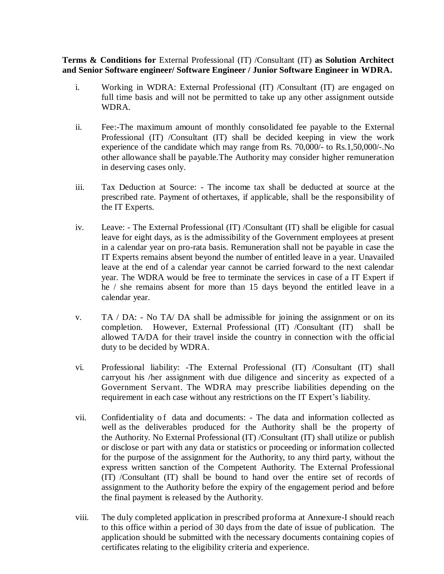**Terms & Conditions for** External Professional (IT) /Consultant (IT) **as Solution Architect and Senior Software engineer/ Software Engineer / Junior Software Engineer in WDRA.**

- i. Working in WDRA: External Professional (IT) /Consultant (IT) are engaged on full time basis and will not be permitted to take up any other assignment outside WDRA.
- ii. Fee:-The maximum amount of monthly consolidated fee payable to the External Professional (IT) /Consultant (IT) shall be decided keeping in view the work experience of the candidate which may range from Rs. 70,000/- to Rs.1,50,000/-.No other allowance shall be payable.The Authority may consider higher remuneration in deserving cases only.
- iii. Tax Deduction at Source: The income tax shall be deducted at source at the prescribed rate. Payment of othertaxes, if applicable, shall be the responsibility of the IT Experts.
- iv. Leave: The External Professional (IT) /Consultant (IT) shall be eligible for casual leave for eight days, as is the admissibility of the Government employees at present in a calendar year on pro-rata basis. Remuneration shall not be payable in case the IT Experts remains absent beyond the number of entitled leave in a year. Unavailed leave at the end of a calendar year cannot be carried forward to the next calendar year. The WDRA would be free to terminate the services in case of a IT Expert if he / she remains absent for more than 15 days beyond the entitled leave in a calendar year.
- v. TA / DA: No TA/ DA shall be admissible for joining the assignment or on its completion. However, External Professional (IT) /Consultant (IT) shall be allowed TA/DA for their travel inside the country in connection with the official duty to be decided by WDRA.
- vi. Professional liability: -The External Professional (IT) /Consultant (IT) shall carryout his /her assignment with due diligence and sincerity as expected of a Government Servant. The WDRA may prescribe liabilities depending on the requirement in each case without any restrictions on the IT Expert's liability.
- vii. Confidentiality of data and documents: The data and information collected as well as the deliverables produced for the Authority shall be the property of the Authority. No External Professional (IT) /Consultant (IT) shall utilize or publish or disclose or part with any data or statistics or proceeding or information collected for the purpose of the assignment for the Authority, to any third party, without the express written sanction of the Competent Authority. The External Professional (IT) /Consultant (IT) shall be bound to hand over the entire set of records of assignment to the Authority before the expiry of the engagement period and before the final payment is released by the Authority.
- viii. The duly completed application in prescribed proforma at Annexure-I should reach to this office within a period of 30 days from the date of issue of publication. The application should be submitted with the necessary documents containing copies of certificates relating to the eligibility criteria and experience.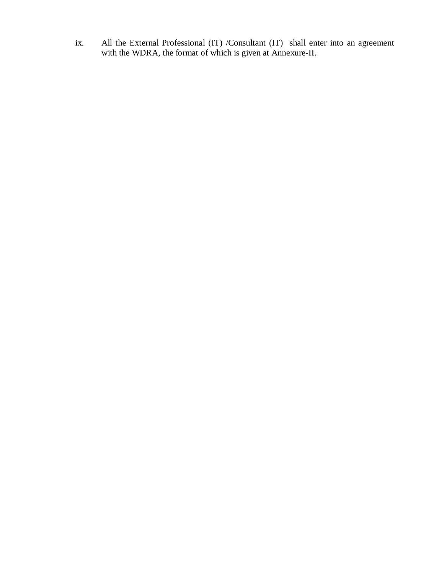ix. All the External Professional (IT) /Consultant (IT) shall enter into an agreement with the WDRA, the format of which is given at Annexure-II.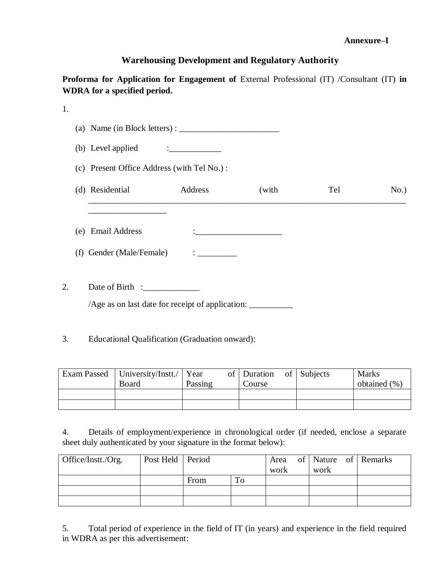#### **Annexure–I**

## **Warehousing Development and Regulatory Authority**

Proforma for Application for Engagement of External Professional (IT) /Consultant (IT) in **WDRA for a specified period.**

| 1. |                                                  |                                                |                                                             |     |      |
|----|--------------------------------------------------|------------------------------------------------|-------------------------------------------------------------|-----|------|
|    | (a) Name (in Block letters) : $\frac{1}{1}$      |                                                |                                                             |     |      |
|    | (b) Level applied                                | <u> : _ _ _ _ _ _ _ _ _ _ _</u>                |                                                             |     |      |
|    | (c) Present Office Address (with Tel No.):       |                                                |                                                             |     |      |
|    | (d) Residential                                  | Address                                        | (with                                                       | Tel | No.) |
|    |                                                  |                                                |                                                             |     |      |
|    | (e) Email Address                                |                                                | $\mathbf{L}$ . The contract of the contract of $\mathbf{L}$ |     |      |
|    | (f) Gender (Male/Female)                         | $\mathbf{1}$ and $\mathbf{1}$ and $\mathbf{1}$ |                                                             |     |      |
| 2. |                                                  |                                                |                                                             |     |      |
|    | /Age as on last date for receipt of application: |                                                |                                                             |     |      |
|    |                                                  |                                                |                                                             |     |      |

3. Educational Qualification (Graduation onward):

| Exam Passed   University/Instt./   Year<br>Board | Passing | of Duration<br>Course | of Subjects | <b>Marks</b><br>obtained $(\% )$ |
|--------------------------------------------------|---------|-----------------------|-------------|----------------------------------|
|                                                  |         |                       |             |                                  |
|                                                  |         |                       |             |                                  |

4. Details of employment/experience in chronological order (if needed, enclose a separate sheet duly authenticated by your signature in the format below):

| Office/Instt./ $Org.$ | Post Held   Period |      |    |      |      | Area of Nature of Remarks |
|-----------------------|--------------------|------|----|------|------|---------------------------|
|                       |                    |      |    | work | work |                           |
|                       |                    | From | To |      |      |                           |
|                       |                    |      |    |      |      |                           |
|                       |                    |      |    |      |      |                           |

5. Total period of experience in the field of IT (in years) and experience in the field required in WDRA as per this advertisement: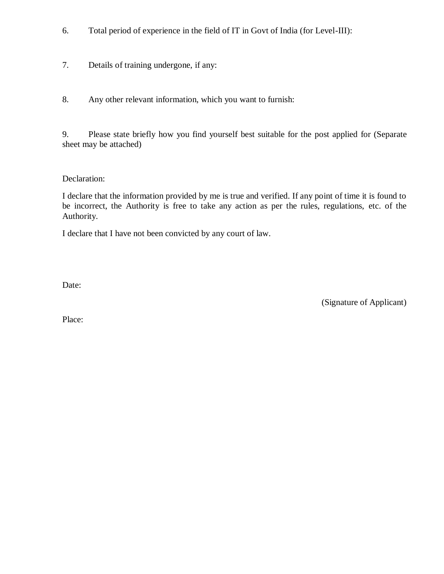- 6. Total period of experience in the field of IT in Govt of India (for Level-III):
- 7. Details of training undergone, if any:
- 8. Any other relevant information, which you want to furnish:

9. Please state briefly how you find yourself best suitable for the post applied for (Separate sheet may be attached)

#### Declaration:

I declare that the information provided by me is true and verified. If any point of time it is found to be incorrect, the Authority is free to take any action as per the rules, regulations, etc. of the Authority.

I declare that I have not been convicted by any court of law.

Date:

(Signature of Applicant)

Place: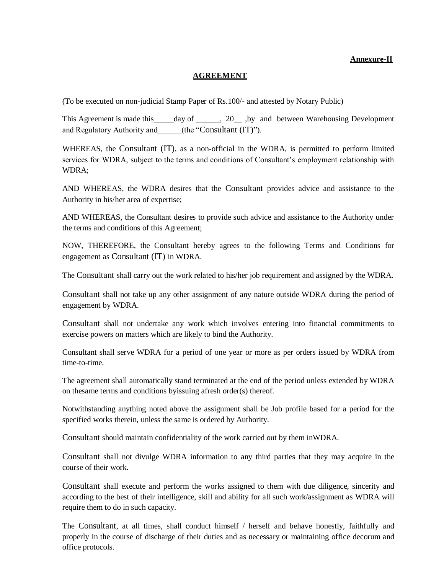#### **Annexure-II**

#### **AGREEMENT**

(To be executed on non-judicial Stamp Paper of Rs.100/- and attested by Notary Public)

This Agreement is made this \_\_\_\_\_day of \_\_\_\_\_\_, 20\_\_\_, by and between Warehousing Development and Regulatory Authority and  $(the "Consultant (IT)").$ 

WHEREAS, the Consultant (IT), as a non-official in the WDRA, is permitted to perform limited services for WDRA, subject to the terms and conditions of Consultant's employment relationship with WDRA;

AND WHEREAS, the WDRA desires that the Consultant provides advice and assistance to the Authority in his/her area of expertise;

AND WHEREAS, the Consultant desires to provide such advice and assistance to the Authority under the terms and conditions of this Agreement;

NOW, THEREFORE, the Consultant hereby agrees to the following Terms and Conditions for engagement as Consultant (IT) in WDRA.

The Consultant shall carry out the work related to his/her job requirement and assigned by the WDRA.

Consultant shall not take up any other assignment of any nature outside WDRA during the period of engagement by WDRA.

Consultant shall not undertake any work which involves entering into financial commitments to exercise powers on matters which are likely to bind the Authority.

Consultant shall serve WDRA for a period of one year or more as per orders issued by WDRA from time-to-time.

The agreement shall automatically stand terminated at the end of the period unless extended by WDRA on thesame terms and conditions byissuing afresh order(s) thereof.

Notwithstanding anything noted above the assignment shall be Job profile based for a period for the specified works therein, unless the same is ordered by Authority.

Consultant should maintain confidentiality of the work carried out by them inWDRA.

Consultant shall not divulge WDRA information to any third parties that they may acquire in the course of their work.

Consultant shall execute and perform the works assigned to them with due diligence, sincerity and according to the best of their intelligence, skill and ability for all such work/assignment as WDRA will require them to do in such capacity.

The Consultant, at all times, shall conduct himself / herself and behave honestly, faithfully and properly in the course of discharge of their duties and as necessary or maintaining office decorum and office protocols.